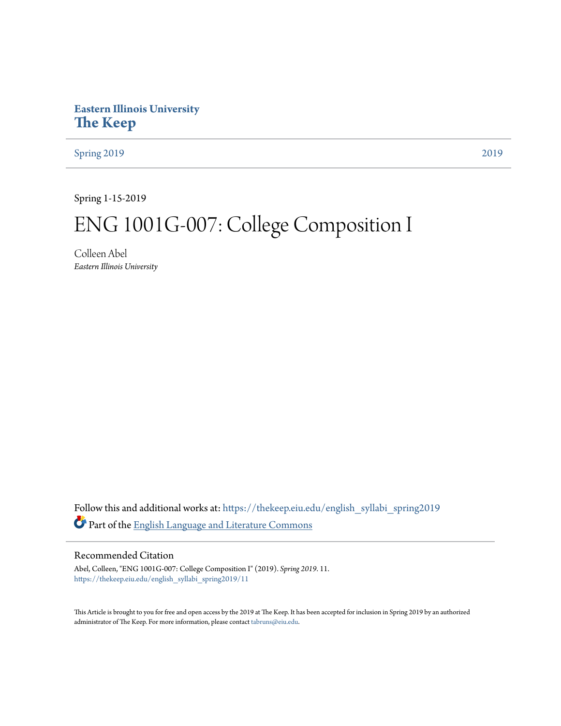# **Eastern Illinois University [The Keep](https://thekeep.eiu.edu?utm_source=thekeep.eiu.edu%2Fenglish_syllabi_spring2019%2F11&utm_medium=PDF&utm_campaign=PDFCoverPages)**

[Spring 2019](https://thekeep.eiu.edu/english_syllabi_spring2019?utm_source=thekeep.eiu.edu%2Fenglish_syllabi_spring2019%2F11&utm_medium=PDF&utm_campaign=PDFCoverPages) [2019](https://thekeep.eiu.edu/english_syllabi2019?utm_source=thekeep.eiu.edu%2Fenglish_syllabi_spring2019%2F11&utm_medium=PDF&utm_campaign=PDFCoverPages)

Spring 1-15-2019

# ENG 1001G-007: College Composition I

Colleen Abel *Eastern Illinois University*

Follow this and additional works at: [https://thekeep.eiu.edu/english\\_syllabi\\_spring2019](https://thekeep.eiu.edu/english_syllabi_spring2019?utm_source=thekeep.eiu.edu%2Fenglish_syllabi_spring2019%2F11&utm_medium=PDF&utm_campaign=PDFCoverPages) Part of the [English Language and Literature Commons](http://network.bepress.com/hgg/discipline/455?utm_source=thekeep.eiu.edu%2Fenglish_syllabi_spring2019%2F11&utm_medium=PDF&utm_campaign=PDFCoverPages)

#### Recommended Citation

Abel, Colleen, "ENG 1001G-007: College Composition I" (2019). *Spring 2019*. 11. [https://thekeep.eiu.edu/english\\_syllabi\\_spring2019/11](https://thekeep.eiu.edu/english_syllabi_spring2019/11?utm_source=thekeep.eiu.edu%2Fenglish_syllabi_spring2019%2F11&utm_medium=PDF&utm_campaign=PDFCoverPages)

This Article is brought to you for free and open access by the 2019 at The Keep. It has been accepted for inclusion in Spring 2019 by an authorized administrator of The Keep. For more information, please contact [tabruns@eiu.edu.](mailto:tabruns@eiu.edu)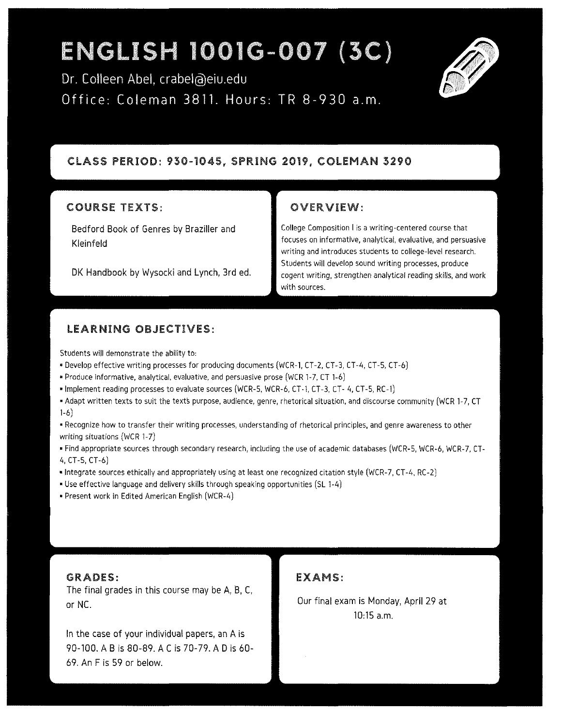# ENGLISH 1001G-007 (3C)

Dr. Colleen Abel, crabel@eiu.edu Office: Coleman 3811. Hours: TR 8-930 a.m.



#### CLASS PERIOD: 930-1045, SPRING 2019, COLEMAN 3290

#### COURSE TEXTS:

Bedford Book of Genres by Braziller and Kleinfeld

DK Handbook by Wysocki and Lynch, 3rd ed.

#### OVERVIEW:

**College Composition** I is a **writing-centered course that focuses on informative, analytical, evaluative, and persuasive writing and introduces students to college-level research. Students will develop sound writing processes, produce cogent writing, strengthen analytical reading skills, and work**  with sources.

#### LEARNING OBJECTIVES:

Students will demonstrate the ability to.

- •Develop effective writing processes for producing documents (WCR-1, CT-2, CT-3, CT-4, CT-5, CT-6)
- Produce informative, analytical, evaluative, and persuasive prose (WCR 1-7, CT 1-6)
- •Implement reading processes to evaluate sources (WCR-5, WCR-6, CT-1, CT-3, CT- 4, CT-5, RC-1)
- •Adapt written texts to suit the texts purpose, audience, genre, rhetorical situation, and discourse community (WCR 1-7, CT 1-6)

• **Recognize how to transfer their writing processes, understanding of rhetorical principles, and genre awareness to other**  writing situations (WCR 1-7)

•Find appropriate sources through secondary research, including the use of academic databases (WCR-5, WCR-6, WCR-7, CT-4, CT-5, CT-6)

- •Integrate sources ethically and appropriately using at least one recognized citation style (WCR-7, CT-4, RC-2)
- •Use effective language and delivery skills through speaking opportunities (SL 1-4)
- •Present work in Edited American English (WCR-4)

GRADES:

The final grades in this course may be A, B, C, or NC.

In the case of your individual papers, an A is 90-100. AB is 80-89. AC is 70-79. AD is 60- 69. An F is 59 or below.

#### EXAMS:

Our final exam is Monday, April 29 at 10:15 a.m.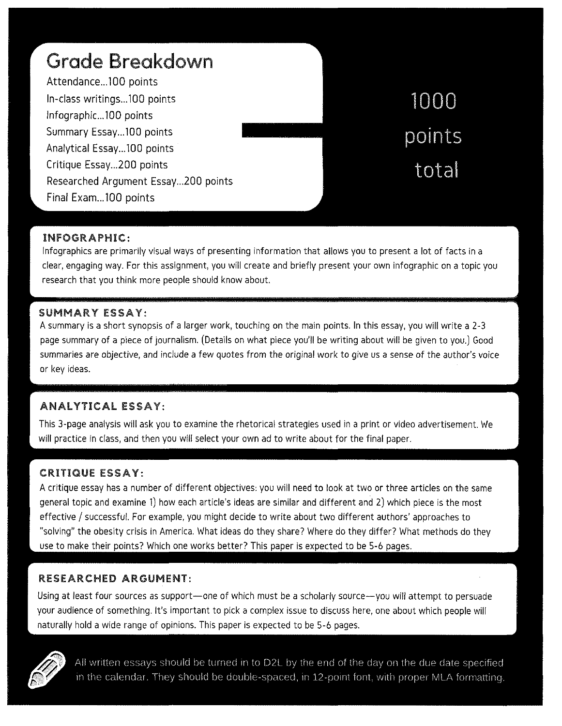| Grade Breakdown                     |        |
|-------------------------------------|--------|
| Attendance100 points                |        |
| In-class writings100 points         | 1000   |
| Infographic100 points               |        |
| Summary Essay100 points             | points |
| Analytical Essay100 points          |        |
| Critique Essay200 points            | total  |
| Researched Argument Essay200 points |        |
| Final Exam100 points                |        |

#### INFOGRAPHIC:

lnfographics are primarily visual ways of presenting information that allows you to present a lot of facts in a clear, engaging way. For this assignment, you will create and briefly present your own infographic on a topic you research that you think more people should know about.

#### SUMMARY ESSAY:

A summary is a short synopsis of a larger work, touching on the main points. In this essay, you will write a 2-3 page summary of a piece of journalism. (Details on what piece you'll be writing about will be given to you.) Good summaries are objective, and include a few quotes from the original work to give us a sense of the author's voice or key ideas.

## ANALYTICAL ESSAY:

This 3-page analysis will ask you to examine the rhetorical strategies used in a print or video advertisement. We will practice in class, and then you will select your own ad to write about for the final paper.

#### CRITIQUE ESSAY:

A critique essay has a number of different objectives: you will need to look at two or three articles on the same general topic and examine 1) how each article's ideas are similar and different and 2) which piece is the most effective/ successful. For example, you might decide to write about two different authors' approaches to "solving" the obesity crisis in America. What ideas do they share? Where do they differ? What methods do they use to make their points? Which one works better? This paper is expected to be 5-6 pages.

## RESEARCHED ARGUMENT:

Using at least four sources as support-one of which must be a scholarly source-you will attempt to persuade your audience of something. It's important to pick a complex issue to discuss here, one about which people will naturally hold a wide range of opinions. This paper is expected to be 5-6 pages.



All written essays should be turned in to D2L by the end of the day on the due date specified in the calendar. They should be double-spaced, in 12-point font, with proper MLA formatting.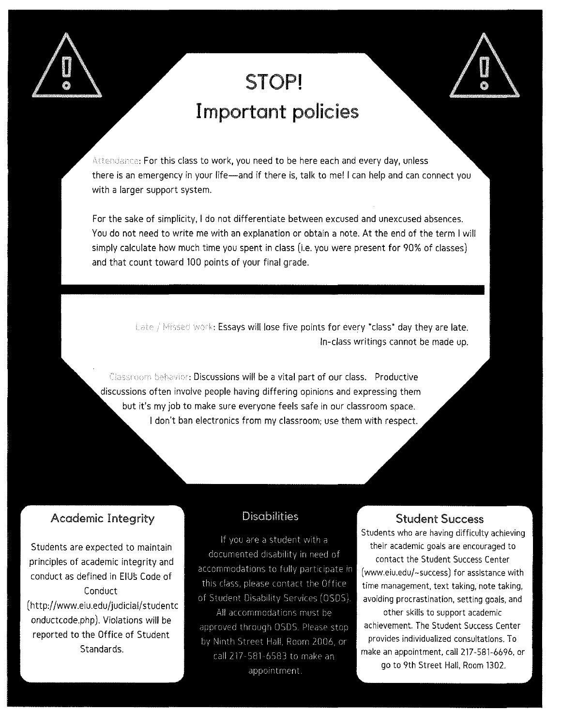

# **STOP! Important policies**

Attendance: For this class to work, you need to be here each and every day, unless there is an emergency in your life-and if there is, talk to me! I can help and can connect you with a larger support system.

For the sake of simplicity, I do not differentiate between excused and unexcused absences. You do not need to write me with an explanation or obtain a note. At the end of the term I will simply calculate how much time you spent in class (i.e. you were present for 90% of classes) and that count toward 100 points of your final grade.

> Late / Missed work: Essays will lose five points for every \*class\* day they are late. In-class writings cannot be made up.

Classroom behavior: Discussions will be a vital part of our class. Productive discussions often involve people having differing opinions and expressing them but it's my job to make sure everyone feels safe in our classroom space. I don't ban electronics from my classroom; use them with respect.

# Academic Integrity

Students are expected to maintain principles of academic integrity and conduct as defined in EIUs Code of Conduct (http://www.eiu.edu/judicial/studentc onductcode.php ). Violations will be reported to the Office of Student Standards.

## **Disabilities**

If you are a student with a documented disability in need of accommodations to fully participate in this class, please contact the Office of Student Disability Services (OSDS) All accommodations must be

approved through OSDS. Please stop by Ninth Street Hall. Room 2006. or call 217-581-6583 to make an appointment.

#### Student Success

Students who are having difficulty achieving their academic goals are encouraged to contact the Student Success Center ( www.eiu.edu/-success) for assistance with time management, text taking, note taking, avoiding procrastination, setting goals, and other skills to support academic achievement. The Student Success Center provides individualized consultations. To make an appointment, call 217-581-6696, or go to 9th Street Hall, Room 1302.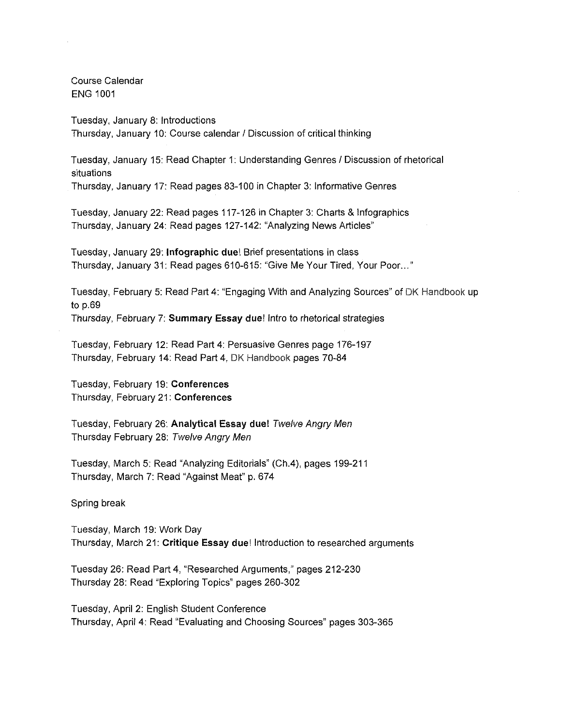Course Calendar ENG 1001

Tuesday, January 8: Introductions Thursday, January 10: Course calendar / Discussion of critical thinking

Tuesday, January 15: Read Chapter 1: Understanding Genres I Discussion of rhetorical situations

Thursday, January 17: Read pages 83-100 in Chapter 3: Informative Genres

Tuesday, January 22: Read pages 117-126 in Chapter 3: Charts & lnfographics Thursday, January 24: Read pages 127-142: "Analyzing News Articles"

Tuesday, January 29: **lnfographic duel** Brief presentations in class Thursday, January 31: Read pages 610-615: "Give Me Your Tired, Your Poor. .. "

Tuesday, February 5: Read Part 4: "Engaging With and Analyzing Sources" of DK Handbook up to p.69 Thursday, February 7: **Summary Essay due!** Intro to rhetorical strategies

Tuesday, February 12: Read Part 4: Persuasive Genres page 176-197 Thursday, February 14: Read Part 4, DK Handbook pages 70-84

Tuesday, February 19: **Conferences**  Thursday, February 21: **Conferences** 

Tuesday, February 26: **Analytical Essay due!** Twelve Angry Men Thursday February 28: Twelve Angry Men

Tuesday, March 5: Read "Analyzing Editorials" (Ch.4), pages 199-211 Thursday, March 7: Read "Against Meat" p. 674

Spring break

Tuesday, March 19: Work Day Thursday, March 21: **Critique Essay due!** Introduction to researched arguments

Tuesday 26: Read Part 4, "Researched Arguments," pages 212-230 Thursday 28: Read "Exploring Topics" pages 260-302

Tuesday, April 2: English Student Conference Thursday, April 4: Read "Evaluating and Choosing Sources" pages 303-365